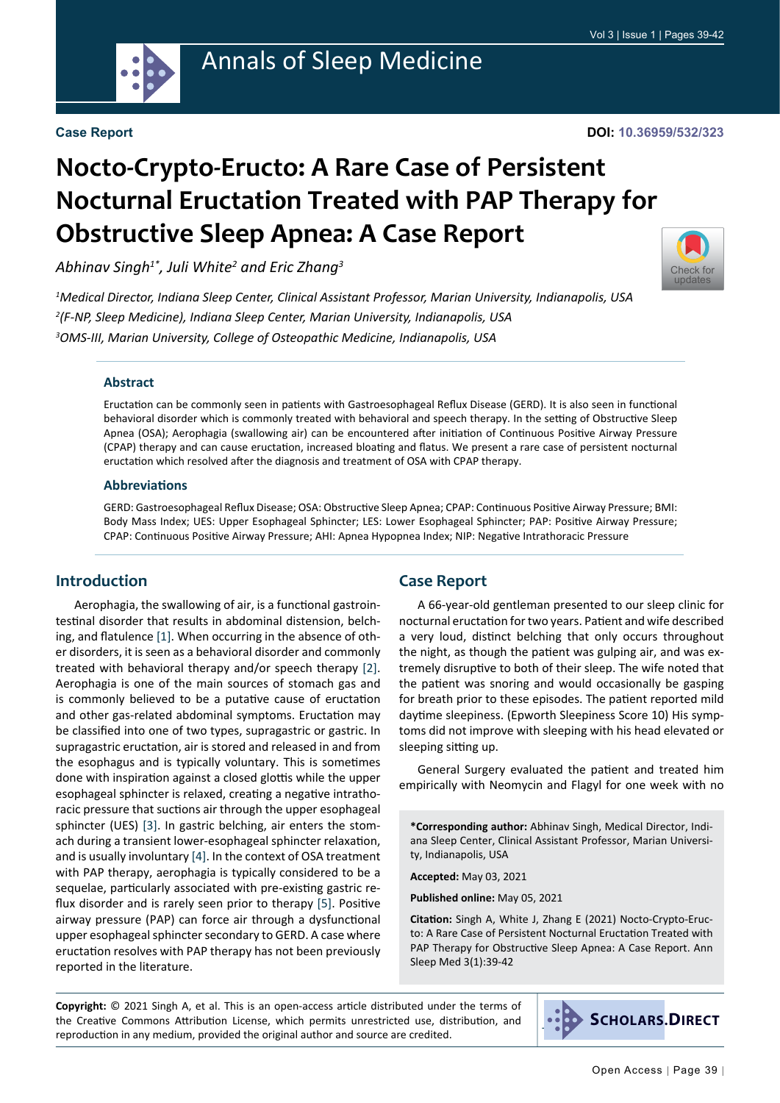

## Annals of Sleep Medicine

#### **Case Report**

#### **DOI: 10.36959/532/323**

# **Nocto-Crypto-Eructo: A Rare Case of Persistent Nocturnal Eructation Treated with PAP Therapy for Obstructive Sleep Apnea: A Case Report**

*Abhinav Singh1\*, Juli White2 and Eric Zhang3*

[Check for](http://crossmark.crossref.org/dialog/?doi=10.36959/532/323&domain=pdf) updates

*1 Medical Director, Indiana Sleep Center, Clinical Assistant Professor, Marian University, Indianapolis, USA 2 (F-NP, Sleep Medicine), Indiana Sleep Center, Marian University, Indianapolis, USA 3 OMS-III, Marian University, College of Osteopathic Medicine, Indianapolis, USA*

#### **Abstract**

Eructation can be commonly seen in patients with Gastroesophageal Reflux Disease (GERD). It is also seen in functional behavioral disorder which is commonly treated with behavioral and speech therapy. In the setting of Obstructive Sleep Apnea (OSA); Aerophagia (swallowing air) can be encountered after initiation of Continuous Positive Airway Pressure (CPAP) therapy and can cause eructation, increased bloating and flatus. We present a rare case of persistent nocturnal eructation which resolved after the diagnosis and treatment of OSA with CPAP therapy.

#### **Abbreviations**

GERD: Gastroesophageal Reflux Disease; OSA: Obstructive Sleep Apnea; CPAP: Continuous Positive Airway Pressure; BMI: Body Mass Index; UES: Upper Esophageal Sphincter; LES: Lower Esophageal Sphincter; PAP: Positive Airway Pressure; CPAP: Continuous Positive Airway Pressure; AHI: Apnea Hypopnea Index; NIP: Negative Intrathoracic Pressure

## **Introduction**

Aerophagia, the swallowing of air, is a functional gastrointestinal disorder that results in abdominal distension, belching, and flatulence [\[1\]](#page-3-0). When occurring in the absence of other disorders, it is seen as a behavioral disorder and commonly treated with behavioral therapy and/or speech therapy [[2\]](#page-3-1). Aerophagia is one of the main sources of stomach gas and is commonly believed to be a putative cause of eructation and other gas-related abdominal symptoms. Eructation may be classified into one of two types, supragastric or gastric. In supragastric eructation, air is stored and released in and from the esophagus and is typically voluntary. This is sometimes done with inspiration against a closed glottis while the upper esophageal sphincter is relaxed, creating a negative intrathoracic pressure that suctions air through the upper esophageal sphincter (UES) [\[3](#page-3-2)]. In gastric belching, air enters the stomach during a transient lower-esophageal sphincter relaxation, and is usually involuntary [\[4](#page-3-3)]. In the context of OSA treatment with PAP therapy, aerophagia is typically considered to be a sequelae, particularly associated with pre-existing gastric reflux disorder and is rarely seen prior to therapy [\[5](#page-3-4)]. Positive airway pressure (PAP) can force air through a dysfunctional upper esophageal sphincter secondary to GERD. A case where eructation resolves with PAP therapy has not been previously reported in the literature.

## **Case Report**

A 66-year-old gentleman presented to our sleep clinic for nocturnal eructation for two years. Patient and wife described a very loud, distinct belching that only occurs throughout the night, as though the patient was gulping air, and was extremely disruptive to both of their sleep. The wife noted that the patient was snoring and would occasionally be gasping for breath prior to these episodes. The patient reported mild daytime sleepiness. (Epworth Sleepiness Score 10) His symptoms did not improve with sleeping with his head elevated or sleeping sitting up.

General Surgery evaluated the patient and treated him empirically with Neomycin and Flagyl for one week with no

**\*Corresponding author:** Abhinav Singh, Medical Director, Indiana Sleep Center, Clinical Assistant Professor, Marian University, Indianapolis, USA

**Accepted:** May 03, 2021

**Published online:** May 05, 2021

**Citation:** Singh A, White J, Zhang E (2021) Nocto-Crypto-Eructo: A Rare Case of Persistent Nocturnal Eructation Treated with PAP Therapy for Obstructive Sleep Apnea: A Case Report. Ann Sleep Med 3(1):39-42

**Copyright:** © 2021 Singh A, et al. This is an open-access article distributed under the terms of the Creative Commons Attribution License, which permits unrestricted use, distribution, and reproduction in any medium, provided the original author and source are credited.

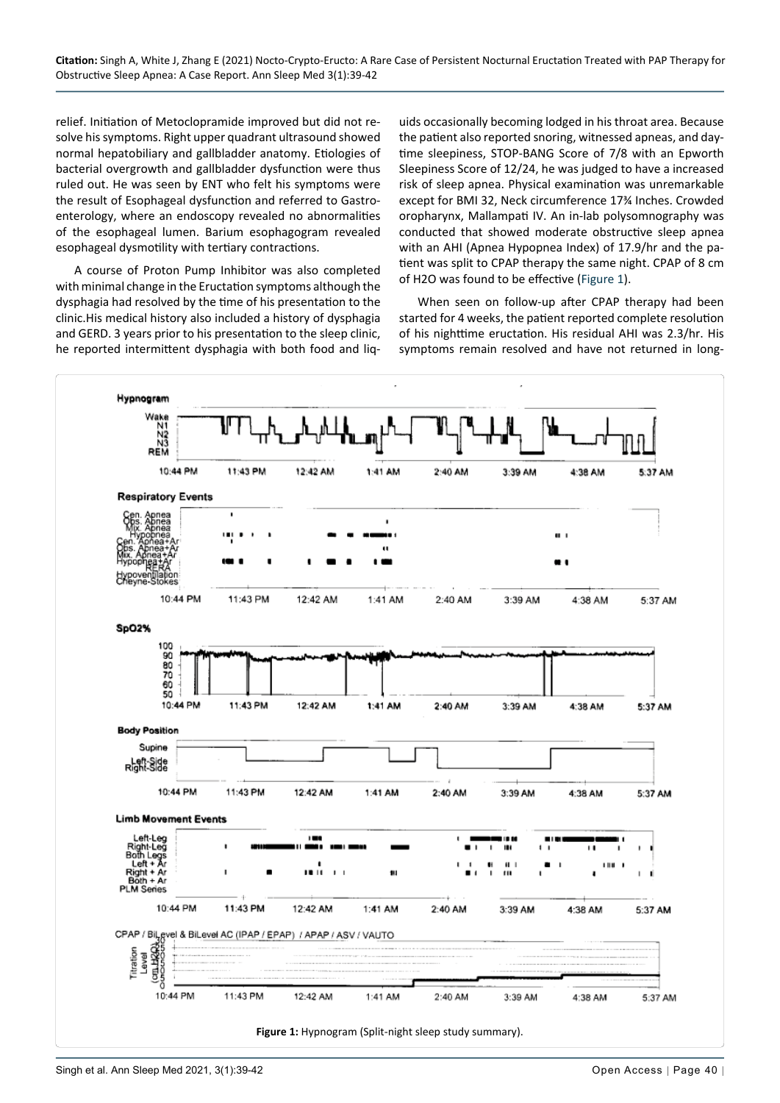**Citation:** Singh A, White J, Zhang E (2021) Nocto-Crypto-Eructo: A Rare Case of Persistent Nocturnal Eructation Treated with PAP Therapy for Obstructive Sleep Apnea: A Case Report. Ann Sleep Med 3(1):39-42

relief. Initiation of Metoclopramide improved but did not resolve his symptoms. Right upper quadrant ultrasound showed normal hepatobiliary and gallbladder anatomy. Etiologies of bacterial overgrowth and gallbladder dysfunction were thus ruled out. He was seen by ENT who felt his symptoms were the result of Esophageal dysfunction and referred to Gastroenterology, where an endoscopy revealed no abnormalities of the esophageal lumen. Barium esophagogram revealed esophageal dysmotility with tertiary contractions.

A course of Proton Pump Inhibitor was also completed with minimal change in the Eructation symptoms although the dysphagia had resolved by the time of his presentation to the clinic.His medical history also included a history of dysphagia and GERD. 3 years prior to his presentation to the sleep clinic, he reported intermittent dysphagia with both food and liq-

uids occasionally becoming lodged in his throat area. Because the patient also reported snoring, witnessed apneas, and daytime sleepiness, STOP-BANG Score of 7/8 with an Epworth Sleepiness Score of 12/24, he was judged to have a increased risk of sleep apnea. Physical examination was unremarkable except for BMI 32, Neck circumference 17¾ Inches. Crowded oropharynx, Mallampati IV. An in-lab polysomnography was conducted that showed moderate obstructive sleep apnea with an AHI (Apnea Hypopnea Index) of 17.9/hr and the patient was split to CPAP therapy the same night. CPAP of 8 cm of H2O was found to be effective ([Figure 1](#page-1-0)).

When seen on follow-up after CPAP therapy had been started for 4 weeks, the patient reported complete resolution of his nighttime eructation. His residual AHI was 2.3/hr. His symptoms remain resolved and have not returned in long-

<span id="page-1-0"></span>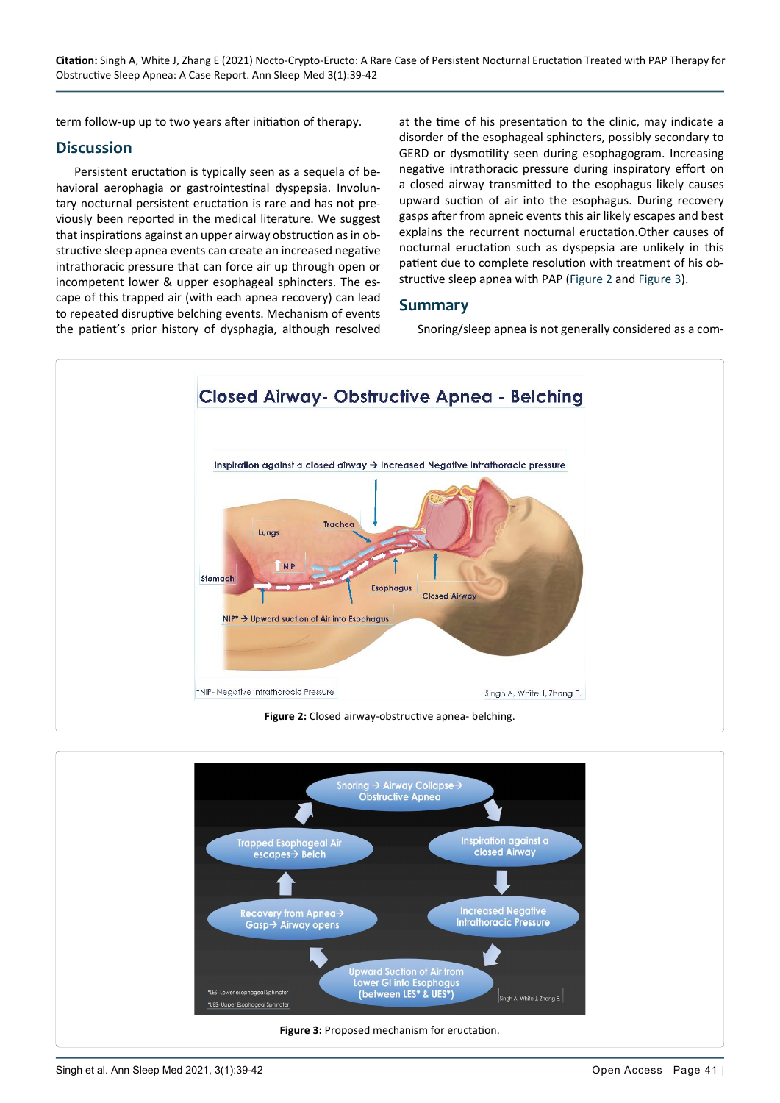term follow-up up to two years after initiation of therapy.

## **Discussion**

Persistent eructation is typically seen as a sequela of behavioral aerophagia or gastrointestinal dyspepsia. Involuntary nocturnal persistent eructation is rare and has not previously been reported in the medical literature. We suggest that inspirations against an upper airway obstruction as in obstructive sleep apnea events can create an increased negative intrathoracic pressure that can force air up through open or incompetent lower & upper esophageal sphincters. The escape of this trapped air (with each apnea recovery) can lead to repeated disruptive belching events. Mechanism of events the patient's prior history of dysphagia, although resolved

at the time of his presentation to the clinic, may indicate a disorder of the esophageal sphincters, possibly secondary to GERD or dysmotility seen during esophagogram. Increasing negative intrathoracic pressure during inspiratory effort on a closed airway transmitted to the esophagus likely causes upward suction of air into the esophagus. During recovery gasps after from apneic events this air likely escapes and best explains the recurrent nocturnal eructation.Other causes of nocturnal eructation such as dyspepsia are unlikely in this patient due to complete resolution with treatment of his obstructive sleep apnea with PAP ([Figure 2](#page-2-0) and [Figure 3](#page-2-1)).

#### **Summary**

Snoring/sleep apnea is not generally considered as a com-

<span id="page-2-0"></span>

<span id="page-2-1"></span>